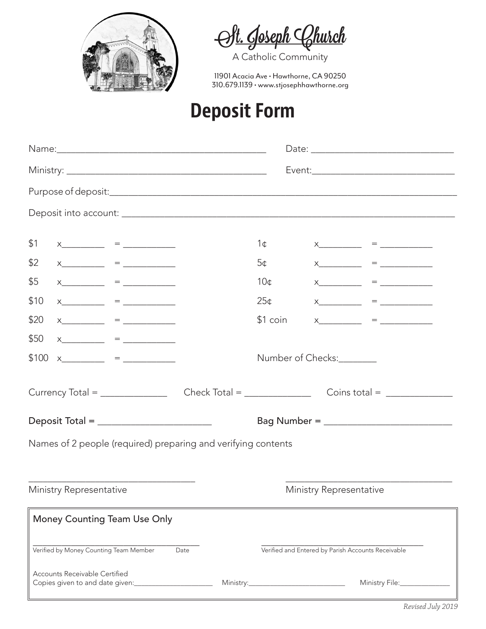



11901 Acacia Ave • Hawthorne, CA 90250 310.679.1139 • www.stjosephhawthorne.org

## **Deposit Form**

| \$1                                                                                                                                                                                                                                                                                                                                                                                                  |                         | $\mathsf{X} \hspace{0.05cm} = \hspace{0.05cm} \rule{0.05cm}{0.05cm} \hspace{0.05cm}$                                                                                                                                                                                                                                                                                   |                                                               | 1¢                      |                          | $\mathsf{X} \hspace{0.04in} = \hspace{0.04in} \hspace{0.04in} \hspace{0.04in} \hspace{0.04in} \hspace{0.04in} \hspace{0.04in} \hspace{0.04in} \hspace{0.04in} \hspace{0.04in} = \hspace{0.04in} \hspace{0.04in} \hspace{0.04in} \hspace{0.04in} \hspace{0.04in} \hspace{0.04in} \hspace{0.04in} \hspace{0.04in} \hspace{0.04in} \hspace{0.04in} \hspace{0.04in} \hs$ |  |  |  |  |  |
|------------------------------------------------------------------------------------------------------------------------------------------------------------------------------------------------------------------------------------------------------------------------------------------------------------------------------------------------------------------------------------------------------|-------------------------|------------------------------------------------------------------------------------------------------------------------------------------------------------------------------------------------------------------------------------------------------------------------------------------------------------------------------------------------------------------------|---------------------------------------------------------------|-------------------------|--------------------------|----------------------------------------------------------------------------------------------------------------------------------------------------------------------------------------------------------------------------------------------------------------------------------------------------------------------------------------------------------------------|--|--|--|--|--|
| \$2                                                                                                                                                                                                                                                                                                                                                                                                  |                         | $\mathsf{X} \hspace{0.03in} = \hspace{0.03in} \hspace{0.03in} \hspace{0.03in} \hspace{0.03in} \hspace{0.03in} \hspace{0.03in} \hspace{0.03in} \hspace{0.03in} \hspace{0.03in} \hspace{0.03in} \hspace{0.03in} \hspace{0.03in} \hspace{0.03in} \hspace{0.03in} \hspace{0.03in} \hspace{0.03in} \hspace{0.03in} \hspace{0.03in} \hspace{0.03in} \hspace{0.03in} \hspace$ |                                                               | 5¢                      |                          | $x$ = $-$                                                                                                                                                                                                                                                                                                                                                            |  |  |  |  |  |
| \$5                                                                                                                                                                                                                                                                                                                                                                                                  |                         |                                                                                                                                                                                                                                                                                                                                                                        |                                                               | 10 <sub>0</sub>         |                          | $x$ $=$ $=$ $=$ $=$ $=$ $=$ $=$ $=$ $=$ $=$ $=$ $=$ $=$ $=$ $=$ $=$ $=$ $=$ $=$ $=$ $=$ $=$ $=$ $=$ $=$ $=$ $=$ $=$ $=$ $=$ $=$ $=$ $=$ $=$ $=$ $=$                                                                                                                                                                                                                  |  |  |  |  |  |
| \$10                                                                                                                                                                                                                                                                                                                                                                                                 |                         | $x$ = $-$ = $-$                                                                                                                                                                                                                                                                                                                                                        |                                                               | 25 <sub>¢</sub>         |                          | $x$ $=$ $=$ $=$ $=$ $=$ $=$ $=$ $=$ $=$ $=$ $=$ $=$ $=$ $=$ $=$ $=$ $=$ $=$ $=$ $=$ $=$ $=$ $=$ $=$ $=$ $=$ $=$ $=$ $=$ $=$ $=$ $=$ $=$ $=$ $=$ $=$                                                                                                                                                                                                                  |  |  |  |  |  |
| \$20                                                                                                                                                                                                                                                                                                                                                                                                 |                         |                                                                                                                                                                                                                                                                                                                                                                        |                                                               | \$1 coin                |                          |                                                                                                                                                                                                                                                                                                                                                                      |  |  |  |  |  |
|                                                                                                                                                                                                                                                                                                                                                                                                      |                         | $x$ = $-$                                                                                                                                                                                                                                                                                                                                                              |                                                               |                         |                          | $x$ = $-$                                                                                                                                                                                                                                                                                                                                                            |  |  |  |  |  |
| \$50                                                                                                                                                                                                                                                                                                                                                                                                 |                         | $\mathsf{X} \hspace{0.05cm} = \hspace{0.05cm} \rule{0.05cm}{0.05cm} \hspace{0.05cm} \mathsf{X} \hspace{0.05cm}$                                                                                                                                                                                                                                                        |                                                               |                         |                          |                                                                                                                                                                                                                                                                                                                                                                      |  |  |  |  |  |
| \$100                                                                                                                                                                                                                                                                                                                                                                                                |                         | $\mathsf{X} \qquad \qquad = \qquad \qquad$                                                                                                                                                                                                                                                                                                                             |                                                               |                         | Number of Checks:_______ |                                                                                                                                                                                                                                                                                                                                                                      |  |  |  |  |  |
| Currency Total = $\frac{1}{\sqrt{1-\frac{1}{2}}\sqrt{1-\frac{1}{2}}\sqrt{1-\frac{1}{2}}\sqrt{1-\frac{1}{2}}\sqrt{1-\frac{1}{2}}\sqrt{1-\frac{1}{2}}\sqrt{1-\frac{1}{2}}\sqrt{1-\frac{1}{2}}\sqrt{1-\frac{1}{2}}\sqrt{1-\frac{1}{2}}\sqrt{1-\frac{1}{2}}\sqrt{1-\frac{1}{2}}\sqrt{1-\frac{1}{2}}\sqrt{1-\frac{1}{2}}\sqrt{1-\frac{1}{2}}\sqrt{1-\frac{1}{2}}\sqrt{1-\frac{1}{2}}\sqrt{1-\frac{1}{2}}$ |                         |                                                                                                                                                                                                                                                                                                                                                                        |                                                               |                         |                          |                                                                                                                                                                                                                                                                                                                                                                      |  |  |  |  |  |
|                                                                                                                                                                                                                                                                                                                                                                                                      |                         | Deposit Total = ___________________________                                                                                                                                                                                                                                                                                                                            |                                                               |                         |                          |                                                                                                                                                                                                                                                                                                                                                                      |  |  |  |  |  |
|                                                                                                                                                                                                                                                                                                                                                                                                      |                         |                                                                                                                                                                                                                                                                                                                                                                        | Names of 2 people (required) preparing and verifying contents |                         |                          |                                                                                                                                                                                                                                                                                                                                                                      |  |  |  |  |  |
|                                                                                                                                                                                                                                                                                                                                                                                                      |                         |                                                                                                                                                                                                                                                                                                                                                                        |                                                               |                         |                          |                                                                                                                                                                                                                                                                                                                                                                      |  |  |  |  |  |
|                                                                                                                                                                                                                                                                                                                                                                                                      |                         |                                                                                                                                                                                                                                                                                                                                                                        |                                                               |                         |                          |                                                                                                                                                                                                                                                                                                                                                                      |  |  |  |  |  |
|                                                                                                                                                                                                                                                                                                                                                                                                      | Ministry Representative |                                                                                                                                                                                                                                                                                                                                                                        |                                                               | Ministry Representative |                          |                                                                                                                                                                                                                                                                                                                                                                      |  |  |  |  |  |
| Money Counting Team Use Only                                                                                                                                                                                                                                                                                                                                                                         |                         |                                                                                                                                                                                                                                                                                                                                                                        |                                                               |                         |                          |                                                                                                                                                                                                                                                                                                                                                                      |  |  |  |  |  |
|                                                                                                                                                                                                                                                                                                                                                                                                      |                         |                                                                                                                                                                                                                                                                                                                                                                        |                                                               |                         |                          |                                                                                                                                                                                                                                                                                                                                                                      |  |  |  |  |  |
| Verified by Money Counting Team Member<br>Verified and Entered by Parish Accounts Receivable<br>Date                                                                                                                                                                                                                                                                                                 |                         |                                                                                                                                                                                                                                                                                                                                                                        |                                                               |                         |                          |                                                                                                                                                                                                                                                                                                                                                                      |  |  |  |  |  |
| <b>Accounts Receivable Certified</b><br>Ministry File:                                                                                                                                                                                                                                                                                                                                               |                         |                                                                                                                                                                                                                                                                                                                                                                        |                                                               |                         |                          |                                                                                                                                                                                                                                                                                                                                                                      |  |  |  |  |  |